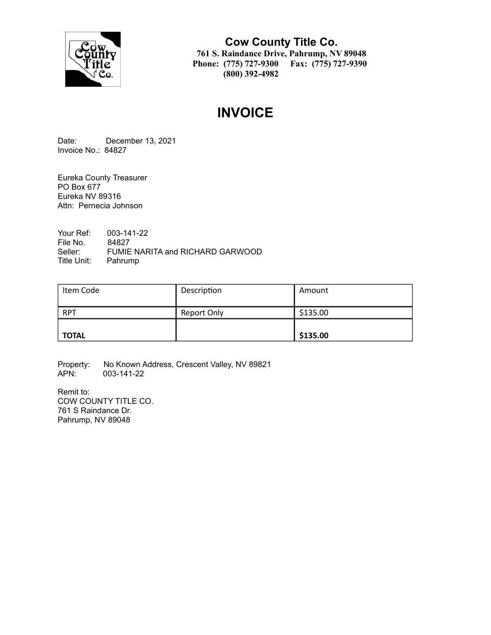

**Cow County Title Co. 761 S. Raindance Drive, Pahrump, NV 89048 Phone: (775) 727-9300 Fax: (775) 727-9390 (800) 392-4982**

# **INVOICE**

Date: December 13, 2021 Invoice No.: 84827

Eureka County Treasurer PO Box 677 Eureka NV 89316 Attn: Pernecia Johnson

Your Ref: 003-141-22 File No. 84827<br>Seller: FUMIE FUMIE NARITA and RICHARD GARWOOD Title Unit: Pahrump

| Item Code    | Description        | Amount   |
|--------------|--------------------|----------|
| <b>RPT</b>   | <b>Report Only</b> | \$135.00 |
| <b>TOTAL</b> |                    | \$135.00 |

Property: No Known Address, Crescent Valley, NV 89821<br>APN: 003-141-22 003-141-22

Remit to: COW COUNTY TITLE CO. 761 S Raindance Dr. Pahrump, NV 89048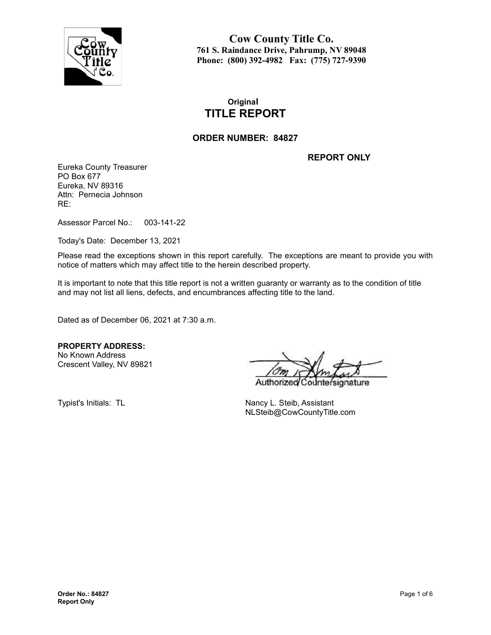

**Cow County Title Co. 761 S. Raindance Drive, Pahrump, NV 89048 Phone: (800) 392-4982 Fax: (775) 727-9390**

## **Original TITLE REPORT**

#### **ORDER NUMBER: 84827**

**REPORT ONLY**

Eureka County Treasurer PO Box 677 Eureka, NV 89316 Attn: Pernecia Johnson RE:

Assessor Parcel No.: 003-141-22

Today's Date: December 13, 2021

Please read the exceptions shown in this report carefully. The exceptions are meant to provide you with notice of matters which may affect title to the herein described property.

It is important to note that this title report is not a written guaranty or warranty as to the condition of title and may not list all liens, defects, and encumbrances affecting title to the land.

Dated as of December 06, 2021 at 7:30 a.m.

**PROPERTY ADDRESS:** No Known Address Crescent Valley, NV 89821

Authorize nature

Typist's Initials: TL Nancy L. Steib, Assistant NLSteib@CowCountyTitle.com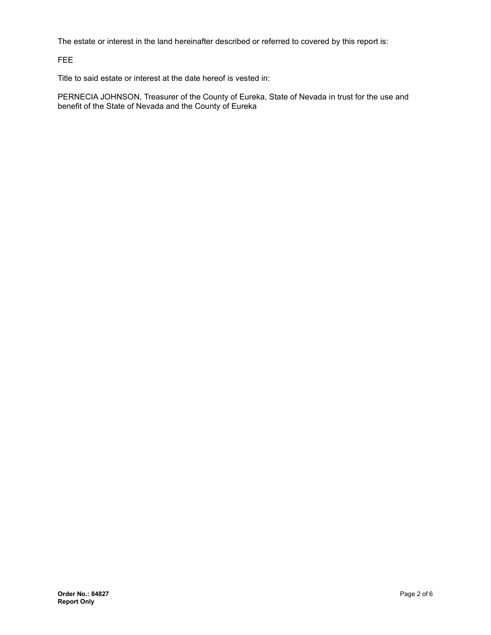The estate or interest in the land hereinafter described or referred to covered by this report is:

FEE

Title to said estate or interest at the date hereof is vested in:

PERNECIA JOHNSON, Treasurer of the County of Eureka, State of Nevada in trust for the use and benefit of the State of Nevada and the County of Eureka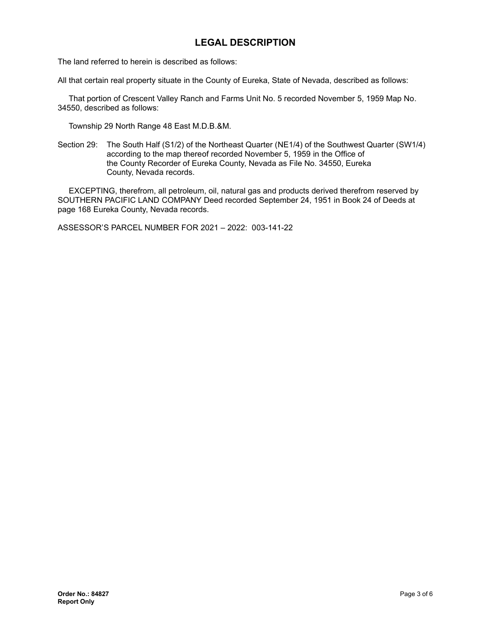## **LEGAL DESCRIPTION**

The land referred to herein is described as follows:

All that certain real property situate in the County of Eureka, State of Nevada, described as follows:

That portion of Crescent Valley Ranch and Farms Unit No. 5 recorded November 5, 1959 Map No. 34550, described as follows:

Township 29 North Range 48 East M.D.B.&M.

Section 29: The South Half (S1/2) of the Northeast Quarter (NE1/4) of the Southwest Quarter (SW1/4) according to the map thereof recorded November 5, 1959 in the Office of the County Recorder of Eureka County, Nevada as File No. 34550, Eureka County, Nevada records.

EXCEPTING, therefrom, all petroleum, oil, natural gas and products derived therefrom reserved by SOUTHERN PACIFIC LAND COMPANY Deed recorded September 24, 1951 in Book 24 of Deeds at page 168 Eureka County, Nevada records.

ASSESSOR'S PARCEL NUMBER FOR 2021 – 2022: 003-141-22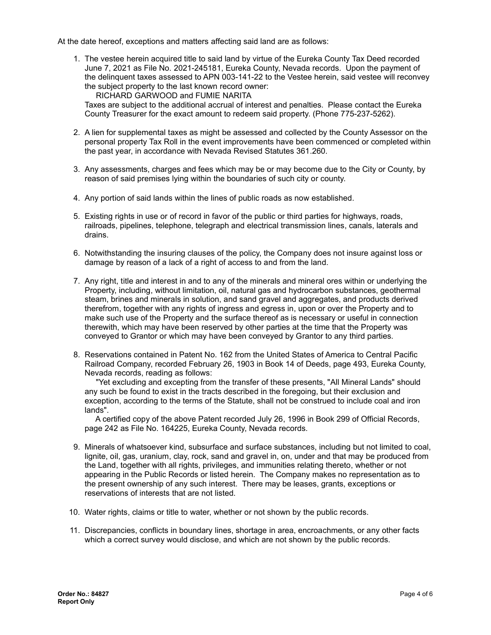At the date hereof, exceptions and matters affecting said land are as follows:

1. The vestee herein acquired title to said land by virtue of the Eureka County Tax Deed recorded June 7, 2021 as File No. 2021-245181, Eureka County, Nevada records. Upon the payment of the delinquent taxes assessed to APN 003-141-22 to the Vestee herein, said vestee will reconvey the subject property to the last known record owner:

RICHARD GARWOOD and FUMIE NARITA

Taxes are subject to the additional accrual of interest and penalties. Please contact the Eureka County Treasurer for the exact amount to redeem said property. (Phone 775-237-5262).

- 2. A lien for supplemental taxes as might be assessed and collected by the County Assessor on the personal property Tax Roll in the event improvements have been commenced or completed within the past year, in accordance with Nevada Revised Statutes 361.260.
- 3. Any assessments, charges and fees which may be or may become due to the City or County, by reason of said premises lying within the boundaries of such city or county.
- 4. Any portion of said lands within the lines of public roads as now established.
- 5. Existing rights in use or of record in favor of the public or third parties for highways, roads, railroads, pipelines, telephone, telegraph and electrical transmission lines, canals, laterals and drains.
- 6. Notwithstanding the insuring clauses of the policy, the Company does not insure against loss or damage by reason of a lack of a right of access to and from the land.
- 7. Any right, title and interest in and to any of the minerals and mineral ores within or underlying the Property, including, without limitation, oil, natural gas and hydrocarbon substances, geothermal steam, brines and minerals in solution, and sand gravel and aggregates, and products derived therefrom, together with any rights of ingress and egress in, upon or over the Property and to make such use of the Property and the surface thereof as is necessary or useful in connection therewith, which may have been reserved by other parties at the time that the Property was conveyed to Grantor or which may have been conveyed by Grantor to any third parties.
- 8. Reservations contained in Patent No. 162 from the United States of America to Central Pacific Railroad Company, recorded February 26, 1903 in Book 14 of Deeds, page 493, Eureka County, Nevada records, reading as follows:

"Yet excluding and excepting from the transfer of these presents, "All Mineral Lands" should any such be found to exist in the tracts described in the foregoing, but their exclusion and exception, according to the terms of the Statute, shall not be construed to include coal and iron lands".

A certified copy of the above Patent recorded July 26, 1996 in Book 299 of Official Records, page 242 as File No. 164225, Eureka County, Nevada records.

- 9. Minerals of whatsoever kind, subsurface and surface substances, including but not limited to coal, lignite, oil, gas, uranium, clay, rock, sand and gravel in, on, under and that may be produced from the Land, together with all rights, privileges, and immunities relating thereto, whether or not appearing in the Public Records or listed herein. The Company makes no representation as to the present ownership of any such interest. There may be leases, grants, exceptions or reservations of interests that are not listed.
- 10. Water rights, claims or title to water, whether or not shown by the public records.
- 11. Discrepancies, conflicts in boundary lines, shortage in area, encroachments, or any other facts which a correct survey would disclose, and which are not shown by the public records.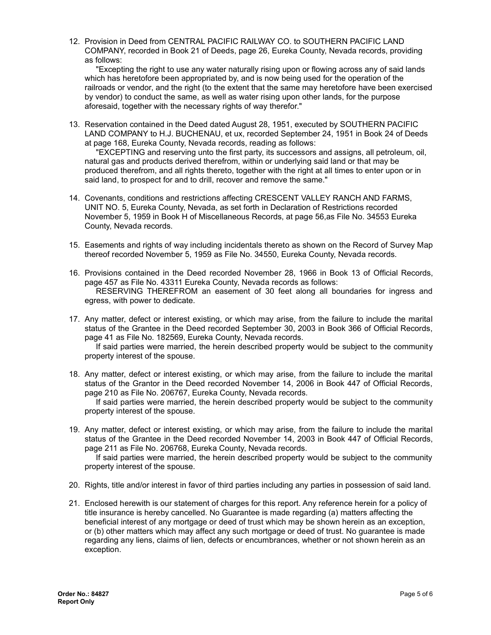12. Provision in Deed from CENTRAL PACIFIC RAILWAY CO. to SOUTHERN PACIFIC LAND COMPANY, recorded in Book 21 of Deeds, page 26, Eureka County, Nevada records, providing as follows:

"Excepting the right to use any water naturally rising upon or flowing across any of said lands which has heretofore been appropriated by, and is now being used for the operation of the railroads or vendor, and the right (to the extent that the same may heretofore have been exercised by vendor) to conduct the same, as well as water rising upon other lands, for the purpose aforesaid, together with the necessary rights of way therefor."

13. Reservation contained in the Deed dated August 28, 1951, executed by SOUTHERN PACIFIC LAND COMPANY to H.J. BUCHENAU, et ux, recorded September 24, 1951 in Book 24 of Deeds at page 168, Eureka County, Nevada records, reading as follows:

"EXCEPTING and reserving unto the first party, its successors and assigns, all petroleum, oil, natural gas and products derived therefrom, within or underlying said land or that may be produced therefrom, and all rights thereto, together with the right at all times to enter upon or in said land, to prospect for and to drill, recover and remove the same."

- 14. Covenants, conditions and restrictions affecting CRESCENT VALLEY RANCH AND FARMS, UNIT NO. 5, Eureka County, Nevada, as set forth in Declaration of Restrictions recorded November 5, 1959 in Book H of Miscellaneous Records, at page 56,as File No. 34553 Eureka County, Nevada records.
- 15. Easements and rights of way including incidentals thereto as shown on the Record of Survey Map thereof recorded November 5, 1959 as File No. 34550, Eureka County, Nevada records.
- 16. Provisions contained in the Deed recorded November 28, 1966 in Book 13 of Official Records, page 457 as File No. 43311 Eureka County, Nevada records as follows: RESERVING THEREFROM an easement of 30 feet along all boundaries for ingress and egress, with power to dedicate.
- 17. Any matter, defect or interest existing, or which may arise, from the failure to include the marital status of the Grantee in the Deed recorded September 30, 2003 in Book 366 of Official Records, page 41 as File No. 182569, Eureka County, Nevada records.

If said parties were married, the herein described property would be subject to the community property interest of the spouse.

18. Any matter, defect or interest existing, or which may arise, from the failure to include the marital status of the Grantor in the Deed recorded November 14, 2006 in Book 447 of Official Records, page 210 as File No. 206767, Eureka County, Nevada records.

If said parties were married, the herein described property would be subject to the community property interest of the spouse.

19. Any matter, defect or interest existing, or which may arise, from the failure to include the marital status of the Grantee in the Deed recorded November 14, 2003 in Book 447 of Official Records, page 211 as File No. 206768, Eureka County, Nevada records.

If said parties were married, the herein described property would be subject to the community property interest of the spouse.

- 20. Rights, title and/or interest in favor of third parties including any parties in possession of said land.
- 21. Enclosed herewith is our statement of charges for this report. Any reference herein for a policy of title insurance is hereby cancelled. No Guarantee is made regarding (a) matters affecting the beneficial interest of any mortgage or deed of trust which may be shown herein as an exception, or (b) other matters which may affect any such mortgage or deed of trust. No guarantee is made regarding any liens, claims of lien, defects or encumbrances, whether or not shown herein as an exception.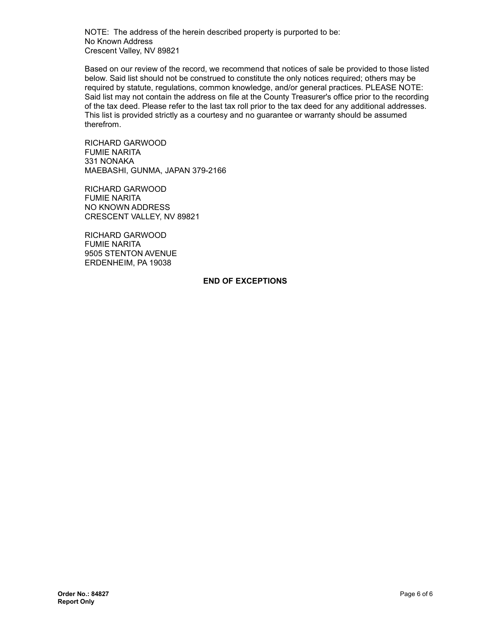NOTE: The address of the herein described property is purported to be: No Known Address Crescent Valley, NV 89821

Based on our review of the record, we recommend that notices of sale be provided to those listed below. Said list should not be construed to constitute the only notices required; others may be required by statute, regulations, common knowledge, and/or general practices. PLEASE NOTE: Said list may not contain the address on file at the County Treasurer's office prior to the recording of the tax deed. Please refer to the last tax roll prior to the tax deed for any additional addresses. This list is provided strictly as a courtesy and no guarantee or warranty should be assumed therefrom.

RICHARD GARWOOD FUMIE NARITA 331 NONAKA MAEBASHI, GUNMA, JAPAN 379-2166

RICHARD GARWOOD FUMIE NARITA NO KNOWN ADDRESS CRESCENT VALLEY, NV 89821

RICHARD GARWOOD FUMIE NARITA 9505 STENTON AVENUE ERDENHEIM, PA 19038

#### **END OF EXCEPTIONS**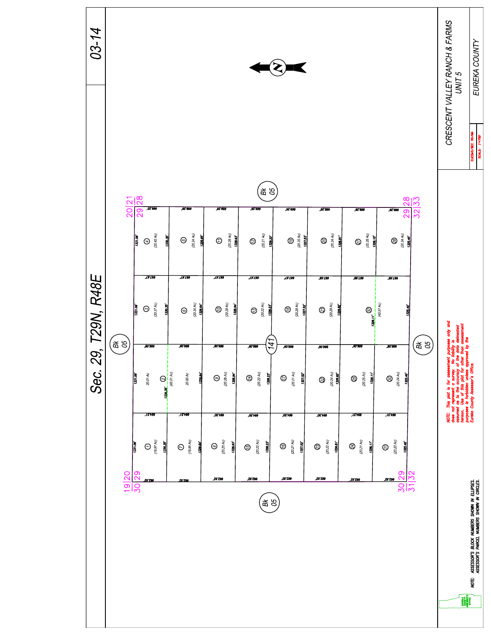